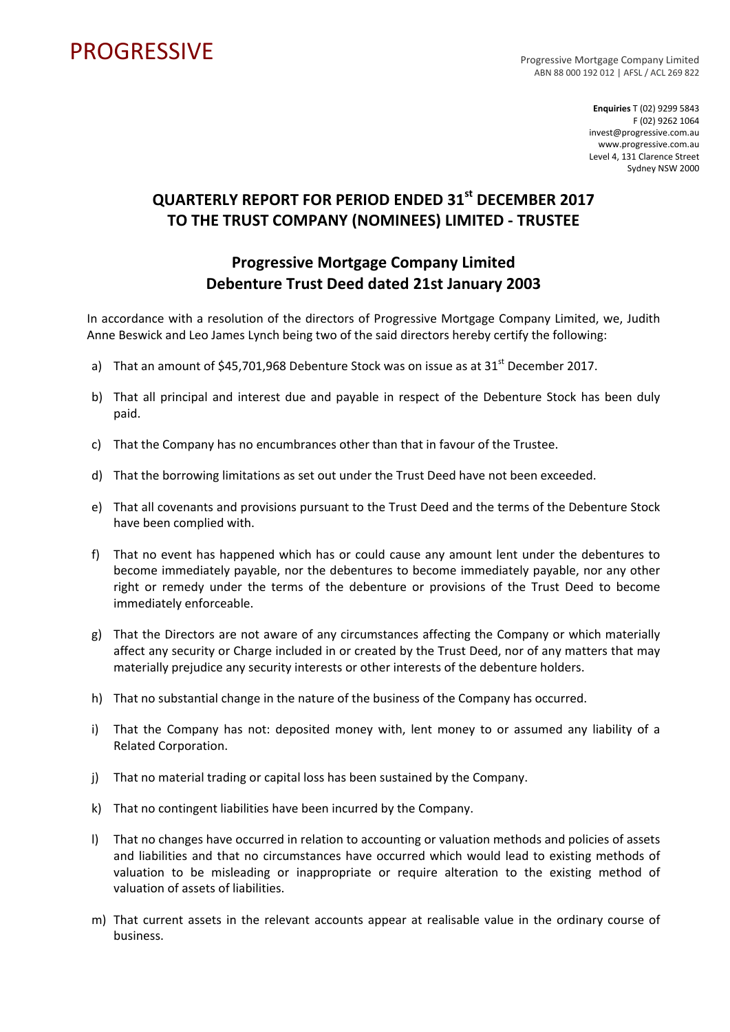## PROGRESSIVE PROGRESSIVE

ABN 88 000 192 012 | AFSL / ACL 269 822

**Enquiries** T (02) 9299 5843 F (02) 9262 1064 invest@progressive.com.au www.progressive.com.au Level 4, 131 Clarence Street Sydney NSW 2000

## **QUARTERLY REPORT FOR PERIOD ENDED 31st DECEMBER 2017 TO THE TRUST COMPANY (NOMINEES) LIMITED ‐ TRUSTEE**

## **Progressive Mortgage Company Limited Debenture Trust Deed dated 21st January 2003**

In accordance with a resolution of the directors of Progressive Mortgage Company Limited, we, Judith Anne Beswick and Leo James Lynch being two of the said directors hereby certify the following:

- a) That an amount of \$45,701,968 Debenture Stock was on issue as at  $31<sup>st</sup>$  December 2017.
- b) That all principal and interest due and payable in respect of the Debenture Stock has been duly paid.
- c) That the Company has no encumbrances other than that in favour of the Trustee.
- d) That the borrowing limitations as set out under the Trust Deed have not been exceeded.
- e) That all covenants and provisions pursuant to the Trust Deed and the terms of the Debenture Stock have been complied with.
- f) That no event has happened which has or could cause any amount lent under the debentures to become immediately payable, nor the debentures to become immediately payable, nor any other right or remedy under the terms of the debenture or provisions of the Trust Deed to become immediately enforceable.
- g) That the Directors are not aware of any circumstances affecting the Company or which materially affect any security or Charge included in or created by the Trust Deed, nor of any matters that may materially prejudice any security interests or other interests of the debenture holders.
- h) That no substantial change in the nature of the business of the Company has occurred.
- i) That the Company has not: deposited money with, lent money to or assumed any liability of a Related Corporation.
- j) That no material trading or capital loss has been sustained by the Company.
- k) That no contingent liabilities have been incurred by the Company.
- l) That no changes have occurred in relation to accounting or valuation methods and policies of assets and liabilities and that no circumstances have occurred which would lead to existing methods of valuation to be misleading or inappropriate or require alteration to the existing method of valuation of assets of liabilities.
- m) That current assets in the relevant accounts appear at realisable value in the ordinary course of business.